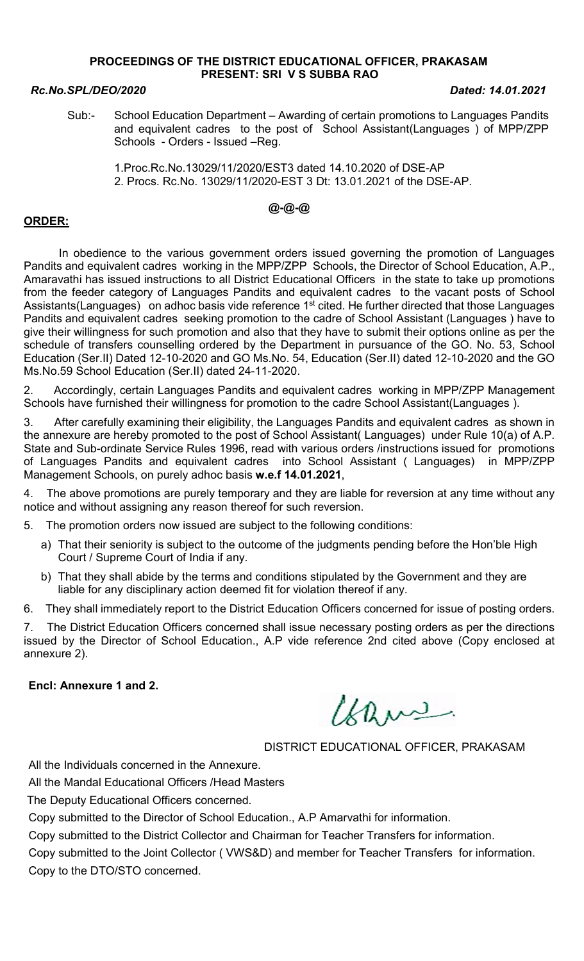### PROCEEDINGS OF THE DISTRICT EDUCATIONAL OFFICER, PRAKASAM PRESENT: SRI V S SUBBA RAO

### Rc.No.SPL/DEO/2020 Dated: 14.01.2021

Sub:- School Education Department – Awarding of certain promotions to Languages Pandits and equivalent cadres to the post of School Assistant(Languages ) of MPP/ZPP Schools - Orders - Issued –Reg.

 1.Proc.Rc.No.13029/11/2020/EST3 dated 14.10.2020 of DSE-AP 2. Procs. Rc.No. 13029/11/2020-EST 3 Dt: 13.01.2021 of the DSE-AP.

# @-@-@

## ORDER:

 In obedience to the various government orders issued governing the promotion of Languages Pandits and equivalent cadres working in the MPP/ZPP Schools, the Director of School Education, A.P., Amaravathi has issued instructions to all District Educational Officers in the state to take up promotions from the feeder category of Languages Pandits and equivalent cadres to the vacant posts of School Assistants(Languages) on adhoc basis vide reference 1<sup>st</sup> cited. He further directed that those Languages Pandits and equivalent cadres seeking promotion to the cadre of School Assistant (Languages ) have to give their willingness for such promotion and also that they have to submit their options online as per the schedule of transfers counselling ordered by the Department in pursuance of the GO. No. 53, School Education (Ser.II) Dated 12-10-2020 and GO Ms.No. 54, Education (Ser.II) dated 12-10-2020 and the GO Ms.No.59 School Education (Ser.II) dated 24-11-2020.

2. Accordingly, certain Languages Pandits and equivalent cadres working in MPP/ZPP Management Schools have furnished their willingness for promotion to the cadre School Assistant(Languages ).

3. After carefully examining their eligibility, the Languages Pandits and equivalent cadres as shown in the annexure are hereby promoted to the post of School Assistant( Languages) under Rule 10(a) of A.P. State and Sub-ordinate Service Rules 1996, read with various orders /instructions issued for promotions of Languages Pandits and equivalent cadres into School Assistant ( Languages) in MPP/ZPP Management Schools, on purely adhoc basis w.e.f 14.01.2021,

4. The above promotions are purely temporary and they are liable for reversion at any time without any notice and without assigning any reason thereof for such reversion.

5. The promotion orders now issued are subject to the following conditions:

- a) That their seniority is subject to the outcome of the judgments pending before the Hon'ble High Court / Supreme Court of India if any.
- b) That they shall abide by the terms and conditions stipulated by the Government and they are liable for any disciplinary action deemed fit for violation thereof if any.

6. They shall immediately report to the District Education Officers concerned for issue of posting orders.

7. The District Education Officers concerned shall issue necessary posting orders as per the directions issued by the Director of School Education., A.P vide reference 2nd cited above (Copy enclosed at annexure 2).

### Encl: Annexure 1 and 2.

Chans.

# DISTRICT EDUCATIONAL OFFICER, PRAKASAM

All the Individuals concerned in the Annexure.

All the Mandal Educational Officers /Head Masters

The Deputy Educational Officers concerned.

Copy submitted to the Director of School Education., A.P Amarvathi for information.

Copy submitted to the District Collector and Chairman for Teacher Transfers for information.

Copy submitted to the Joint Collector ( VWS&D) and member for Teacher Transfers for information. Copy to the DTO/STO concerned.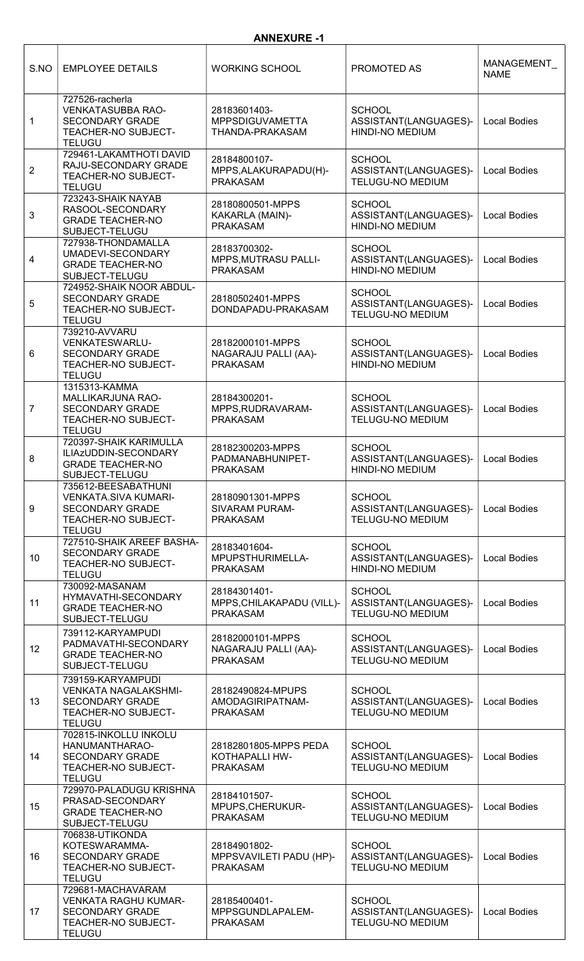| S.NO            | <b>EMPLOYEE DETAILS</b>                                                                                              | <b>WORKING SCHOOL</b>                                        | PROMOTED AS                                                       | MANAGEMENT<br><b>NAME</b> |
|-----------------|----------------------------------------------------------------------------------------------------------------------|--------------------------------------------------------------|-------------------------------------------------------------------|---------------------------|
| 1               | 727526-racherla<br><b>VENKATASUBBA RAO-</b><br><b>SECONDARY GRADE</b><br><b>TEACHER-NO SUBJECT-</b><br><b>TELUGU</b> | 28183601403-<br><b>MPPSDIGUVAMETTA</b><br>THANDA-PRAKASAM    | <b>SCHOOL</b><br>ASSISTANT(LANGUAGES)-<br><b>HINDI-NO MEDIUM</b>  | <b>Local Bodies</b>       |
| $\overline{2}$  | 729461-LAKAMTHOTI DAVID<br>RAJU-SECONDARY GRADE<br>TEACHER-NO SUBJECT-<br><b>TELUGU</b>                              | 28184800107-<br>MPPS, ALAKURAPADU(H)-<br><b>PRAKASAM</b>     | <b>SCHOOL</b><br>ASSISTANT(LANGUAGES)-<br><b>TELUGU-NO MEDIUM</b> | <b>Local Bodies</b>       |
| 3               | 723243-SHAIK NAYAB<br>RASOOL-SECONDARY<br><b>GRADE TEACHER-NO</b><br>SUBJECT-TELUGU                                  | 28180800501-MPPS<br>KAKARLA (MAIN)-<br><b>PRAKASAM</b>       | <b>SCHOOL</b><br>ASSISTANT(LANGUAGES)-<br>HINDI-NO MEDIUM         | <b>Local Bodies</b>       |
| 4               | 727938-THONDAMALLA<br>UMADEVI-SECONDARY<br><b>GRADE TEACHER-NO</b><br>SUBJECT-TELUGU                                 | 28183700302-<br>MPPS, MUTRASU PALLI-<br><b>PRAKASAM</b>      | <b>SCHOOL</b><br>ASSISTANT(LANGUAGES)-<br><b>HINDI-NO MEDIUM</b>  | <b>Local Bodies</b>       |
| 5               | 724952-SHAIK NOOR ABDUL-<br><b>SECONDARY GRADE</b><br>TEACHER-NO SUBJECT-<br><b>TELUGU</b>                           | 28180502401-MPPS<br>DONDAPADU-PRAKASAM                       | <b>SCHOOL</b><br>ASSISTANT(LANGUAGES)-<br><b>TELUGU-NO MEDIUM</b> | <b>Local Bodies</b>       |
| 6               | 739210-AVVARU<br>VENKATESWARLU-<br><b>SECONDARY GRADE</b><br>TEACHER-NO SUBJECT-<br><b>TELUGU</b>                    | 28182000101-MPPS<br>NAGARAJU PALLI (AA)-<br><b>PRAKASAM</b>  | <b>SCHOOL</b><br>ASSISTANT(LANGUAGES)-<br><b>HINDI-NO MEDIUM</b>  | <b>Local Bodies</b>       |
| $\overline{7}$  | 1315313-KAMMA<br>MALLIKARJUNA RAO-<br><b>SECONDARY GRADE</b><br>TEACHER-NO SUBJECT-<br><b>TELUGU</b>                 | 28184300201-<br>MPPS, RUDRAVARAM-<br><b>PRAKASAM</b>         | <b>SCHOOL</b><br>ASSISTANT(LANGUAGES)-<br><b>TELUGU-NO MEDIUM</b> | <b>Local Bodies</b>       |
| 8               | 720397-SHAIK KARIMULLA<br>ILIAzUDDIN-SECONDARY<br><b>GRADE TEACHER-NO</b><br>SUBJECT-TELUGU                          | 28182300203-MPPS<br>PADMANABHUNIPET-<br><b>PRAKASAM</b>      | <b>SCHOOL</b><br>ASSISTANT(LANGUAGES)-<br>HINDI-NO MEDIUM         | <b>Local Bodies</b>       |
| 9               | 735612-BEESABATHUNI<br><b>VENKATA.SIVA KUMARI-</b><br><b>SECONDARY GRADE</b><br>TEACHER-NO SUBJECT-<br><b>TELUGU</b> | 28180901301-MPPS<br><b>SIVARAM PURAM-</b><br><b>PRAKASAM</b> | <b>SCHOOL</b><br>ASSISTANT(LANGUAGES)-<br><b>TELUGU-NO MEDIUM</b> | <b>Local Bodies</b>       |
| 10              | 727510-SHAIK AREEF BASHA-<br><b>SECONDARY GRADE</b><br>TEACHER-NO SUBJECT-<br><b>TELUGU</b>                          | 28183401604-<br>MPUPSTHURIMELLA-<br><b>PRAKASAM</b>          | <b>SCHOOL</b><br>ASSISTANT(LANGUAGES)-<br><b>HINDI-NO MEDIUM</b>  | <b>Local Bodies</b>       |
| 11              | 730092-MASANAM<br>HYMAVATHI-SECONDARY<br><b>GRADE TEACHER-NO</b><br>SUBJECT-TELUGU                                   | 28184301401-<br>MPPS, CHILAKAPADU (VILL)-<br><b>PRAKASAM</b> | <b>SCHOOL</b><br>ASSISTANT(LANGUAGES)-<br><b>TELUGU-NO MEDIUM</b> | <b>Local Bodies</b>       |
| 12 <sup>°</sup> | 739112-KARYAMPUDI<br>PADMAVATHI-SECONDARY<br><b>GRADE TEACHER-NO</b><br>SUBJECT-TELUGU                               | 28182000101-MPPS<br>NAGARAJU PALLI (AA)-<br><b>PRAKASAM</b>  | <b>SCHOOL</b><br>ASSISTANT(LANGUAGES)-<br><b>TELUGU-NO MEDIUM</b> | <b>Local Bodies</b>       |
| 13              | 739159-KARYAMPUDI<br><b>VENKATA NAGALAKSHMI-</b><br><b>SECONDARY GRADE</b><br>TEACHER-NO SUBJECT-<br><b>TELUGU</b>   | 28182490824-MPUPS<br>AMODAGIRIPATNAM-<br><b>PRAKASAM</b>     | <b>SCHOOL</b><br>ASSISTANT(LANGUAGES)-<br><b>TELUGU-NO MEDIUM</b> | <b>Local Bodies</b>       |
| 14              | 702815-INKOLLU INKOLU<br>HANUMANTHARAO-<br><b>SECONDARY GRADE</b><br>TEACHER-NO SUBJECT-<br><b>TELUGU</b>            | 28182801805-MPPS PEDA<br>KOTHAPALLI HW-<br><b>PRAKASAM</b>   | <b>SCHOOL</b><br>ASSISTANT(LANGUAGES)-<br><b>TELUGU-NO MEDIUM</b> | <b>Local Bodies</b>       |
| 15              | 729970-PALADUGU KRISHNA<br>PRASAD-SECONDARY<br><b>GRADE TEACHER-NO</b><br>SUBJECT-TELUGU                             | 28184101507-<br>MPUPS, CHERUKUR-<br><b>PRAKASAM</b>          | <b>SCHOOL</b><br>ASSISTANT(LANGUAGES)-<br><b>TELUGU-NO MEDIUM</b> | <b>Local Bodies</b>       |
| 16              | 706838-UTIKONDA<br>KOTESWARAMMA-<br><b>SECONDARY GRADE</b><br>TEACHER-NO SUBJECT-<br><b>TELUGU</b>                   | 28184901802-<br>MPPSVAVILETI PADU (HP)-<br><b>PRAKASAM</b>   | <b>SCHOOL</b><br>ASSISTANT(LANGUAGES)-<br><b>TELUGU-NO MEDIUM</b> | <b>Local Bodies</b>       |
| 17              | 729681-MACHAVARAM<br><b>VENKATA RAGHU KUMAR-</b><br><b>SECONDARY GRADE</b><br>TEACHER-NO SUBJECT-<br><b>TELUGU</b>   | 28185400401-<br>MPPSGUNDLAPALEM-<br><b>PRAKASAM</b>          | <b>SCHOOL</b><br>ASSISTANT(LANGUAGES)-<br>TELUGU-NO MEDIUM        | Local Bodies              |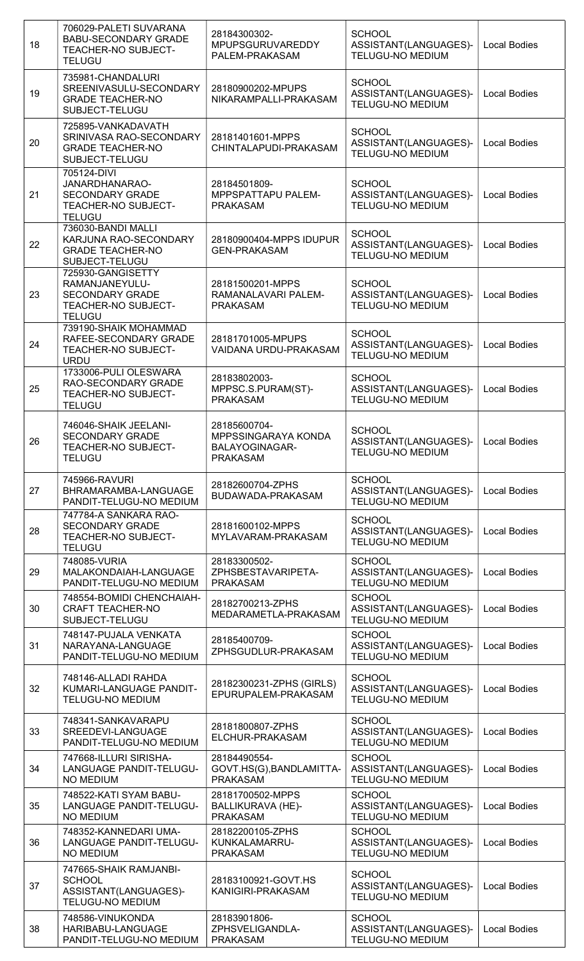| 18 | 706029-PALETI SUVARANA<br><b>BABU-SECONDARY GRADE</b><br><b>TEACHER-NO SUBJECT-</b><br><b>TELUGU</b>  | 28184300302-<br>MPUPSGURUVAREDDY<br>PALEM-PRAKASAM                       | <b>SCHOOL</b><br>ASSISTANT(LANGUAGES)-<br><b>TELUGU-NO MEDIUM</b> | <b>Local Bodies</b> |
|----|-------------------------------------------------------------------------------------------------------|--------------------------------------------------------------------------|-------------------------------------------------------------------|---------------------|
| 19 | 735981-CHANDALURI<br>SREENIVASULU-SECONDARY<br><b>GRADE TEACHER-NO</b><br>SUBJECT-TELUGU              | 28180900202-MPUPS<br>NIKARAMPALLI-PRAKASAM                               | <b>SCHOOL</b><br>ASSISTANT(LANGUAGES)-<br><b>TELUGU-NO MEDIUM</b> | <b>Local Bodies</b> |
| 20 | 725895-VANKADAVATH<br>SRINIVASA RAO-SECONDARY<br><b>GRADE TEACHER-NO</b><br>SUBJECT-TELUGU            | 28181401601-MPPS<br>CHINTALAPUDI-PRAKASAM                                | <b>SCHOOL</b><br>ASSISTANT(LANGUAGES)-<br><b>TELUGU-NO MEDIUM</b> | <b>Local Bodies</b> |
| 21 | 705124-DIVI<br>JANARDHANARAO-<br><b>SECONDARY GRADE</b><br>TEACHER-NO SUBJECT-<br><b>TELUGU</b>       | 28184501809-<br>MPPSPATTAPU PALEM-<br><b>PRAKASAM</b>                    | <b>SCHOOL</b><br>ASSISTANT(LANGUAGES)-<br><b>TELUGU-NO MEDIUM</b> | <b>Local Bodies</b> |
| 22 | 736030-BANDI MALLI<br>KARJUNA RAO-SECONDARY<br><b>GRADE TEACHER-NO</b><br>SUBJECT-TELUGU              | 28180900404-MPPS IDUPUR<br><b>GEN-PRAKASAM</b>                           | <b>SCHOOL</b><br>ASSISTANT(LANGUAGES)-<br>TELUGU-NO MEDIUM        | <b>Local Bodies</b> |
| 23 | 725930-GANGISETTY<br>RAMANJANEYULU-<br><b>SECONDARY GRADE</b><br>TEACHER-NO SUBJECT-<br><b>TELUGU</b> | 28181500201-MPPS<br>RAMANALAVARI PALEM-<br><b>PRAKASAM</b>               | <b>SCHOOL</b><br>ASSISTANT(LANGUAGES)-<br><b>TELUGU-NO MEDIUM</b> | <b>Local Bodies</b> |
| 24 | 739190-SHAIK MOHAMMAD<br>RAFEE-SECONDARY GRADE<br>TEACHER-NO SUBJECT-<br><b>URDU</b>                  | 28181701005-MPUPS<br>VAIDANA URDU-PRAKASAM                               | <b>SCHOOL</b><br>ASSISTANT(LANGUAGES)-<br><b>TELUGU-NO MEDIUM</b> | <b>Local Bodies</b> |
| 25 | 1733006-PULI OLESWARA<br>RAO-SECONDARY GRADE<br>TEACHER-NO SUBJECT-<br><b>TELUGU</b>                  | 28183802003-<br>MPPSC.S.PURAM(ST)-<br><b>PRAKASAM</b>                    | <b>SCHOOL</b><br>ASSISTANT(LANGUAGES)-<br><b>TELUGU-NO MEDIUM</b> | <b>Local Bodies</b> |
| 26 | 746046-SHAIK JEELANI-<br><b>SECONDARY GRADE</b><br>TEACHER-NO SUBJECT-<br><b>TELUGU</b>               | 28185600704-<br>MPPSSINGARAYA KONDA<br>BALAYOGINAGAR-<br><b>PRAKASAM</b> | <b>SCHOOL</b><br>ASSISTANT(LANGUAGES)-<br><b>TELUGU-NO MEDIUM</b> | <b>Local Bodies</b> |
| 27 | 745966-RAVURI<br>BHRAMARAMBA-LANGUAGE<br>PANDIT-TELUGU-NO MEDIUM                                      | 28182600704-ZPHS<br>BUDAWADA-PRAKASAM                                    | <b>SCHOOL</b><br>ASSISTANT(LANGUAGES)-<br><b>TELUGU-NO MEDIUM</b> | <b>Local Bodies</b> |
| 28 | 747784-A SANKARA RAO-<br><b>SECONDARY GRADE</b><br>TEACHER-NO SUBJECT-<br><b>TELUGU</b>               | 28181600102-MPPS<br>MYLAVARAM-PRAKASAM                                   | <b>SCHOOL</b><br>ASSISTANT(LANGUAGES)-<br><b>TELUGU-NO MEDIUM</b> | <b>Local Bodies</b> |
| 29 | 748085-VURIA<br>MALAKONDAIAH-LANGUAGE<br>PANDIT-TELUGU-NO MEDIUM                                      | 28183300502-<br>ZPHSBESTAVARIPETA-<br><b>PRAKASAM</b>                    | <b>SCHOOL</b><br>ASSISTANT(LANGUAGES)-<br><b>TELUGU-NO MEDIUM</b> | <b>Local Bodies</b> |
| 30 | 748554-BOMIDI CHENCHAIAH-<br><b>CRAFT TEACHER-NO</b><br>SUBJECT-TELUGU                                | 28182700213-ZPHS<br>MEDARAMETLA-PRAKASAM                                 | <b>SCHOOL</b><br>ASSISTANT(LANGUAGES)-<br>TELUGU-NO MEDIUM        | <b>Local Bodies</b> |
| 31 | 748147-PUJALA VENKATA<br>NARAYANA-LANGUAGE<br>PANDIT-TELUGU-NO MEDIUM                                 | 28185400709-<br>ZPHSGUDLUR-PRAKASAM                                      | <b>SCHOOL</b><br>ASSISTANT(LANGUAGES)-<br><b>TELUGU-NO MEDIUM</b> | <b>Local Bodies</b> |
| 32 | 748146-ALLADI RAHDA<br>KUMARI-LANGUAGE PANDIT-<br><b>TELUGU-NO MEDIUM</b>                             | 28182300231-ZPHS (GIRLS)<br>EPURUPALEM-PRAKASAM                          | <b>SCHOOL</b><br>ASSISTANT(LANGUAGES)-<br><b>TELUGU-NO MEDIUM</b> | <b>Local Bodies</b> |
| 33 | 748341-SANKAVARAPU<br>SREEDEVI-LANGUAGE<br>PANDIT-TELUGU-NO MEDIUM                                    | 28181800807-ZPHS<br>ELCHUR-PRAKASAM                                      | <b>SCHOOL</b><br>ASSISTANT(LANGUAGES)-<br><b>TELUGU-NO MEDIUM</b> | <b>Local Bodies</b> |
| 34 | 747668-ILLURI SIRISHA-<br>LANGUAGE PANDIT-TELUGU-<br><b>NO MEDIUM</b>                                 | 28184490554-<br>GOVT.HS(G), BANDLAMITTA-<br><b>PRAKASAM</b>              | <b>SCHOOL</b><br>ASSISTANT(LANGUAGES)-<br><b>TELUGU-NO MEDIUM</b> | <b>Local Bodies</b> |
| 35 | 748522-KATI SYAM BABU-<br>LANGUAGE PANDIT-TELUGU-<br><b>NO MEDIUM</b>                                 | 28181700502-MPPS<br><b>BALLIKURAVA (HE)-</b><br><b>PRAKASAM</b>          | <b>SCHOOL</b><br>ASSISTANT(LANGUAGES)-<br>TELUGU-NO MEDIUM        | <b>Local Bodies</b> |
| 36 | 748352-KANNEDARI UMA-<br>LANGUAGE PANDIT-TELUGU-<br><b>NO MEDIUM</b>                                  | 28182200105-ZPHS<br>KUNKALAMARRU-<br><b>PRAKASAM</b>                     | <b>SCHOOL</b><br>ASSISTANT(LANGUAGES)-<br><b>TELUGU-NO MEDIUM</b> | <b>Local Bodies</b> |
| 37 | 747665-SHAIK RAMJANBI-<br><b>SCHOOL</b><br>ASSISTANT(LANGUAGES)-<br>TELUGU-NO MEDIUM                  | 28183100921-GOVT.HS<br>KANIGIRI-PRAKASAM                                 | <b>SCHOOL</b><br>ASSISTANT(LANGUAGES)-<br>TELUGU-NO MEDIUM        | <b>Local Bodies</b> |
| 38 | 748586-VINUKONDA<br>HARIBABU-LANGUAGE<br>PANDIT-TELUGU-NO MEDIUM                                      | 28183901806-<br>ZPHSVELIGANDLA-<br><b>PRAKASAM</b>                       | <b>SCHOOL</b><br>ASSISTANT(LANGUAGES)-<br><b>TELUGU-NO MEDIUM</b> | <b>Local Bodies</b> |